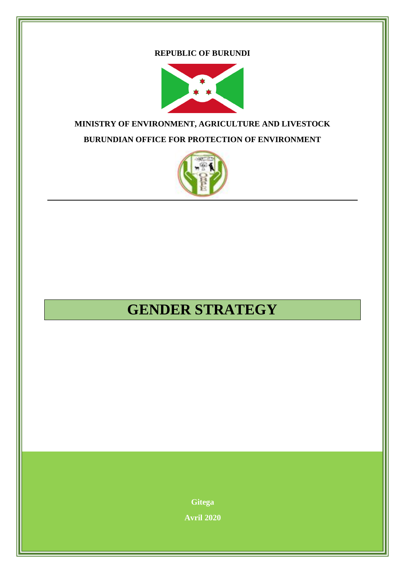### **REPUBLIC OF BURUNDI**



# **MINISTRY OF ENVIRONMENT, AGRICULTURE AND LIVESTOCK BURUNDIAN OFFICE FOR PROTECTION OF ENVIRONMENT**



# **GENDER STRATEGY**

**Gitega Avril 2020**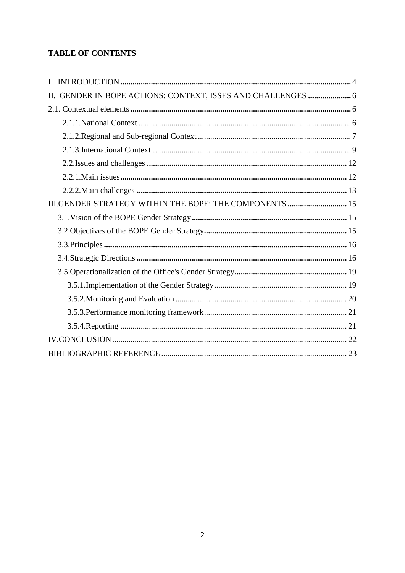# **TABLE OF CONTENTS**

| GENDER IN BOPE ACTIONS: CONTEXT, ISSES AND CHALLENGES  6<br>П. |  |
|----------------------------------------------------------------|--|
|                                                                |  |
|                                                                |  |
|                                                                |  |
|                                                                |  |
|                                                                |  |
|                                                                |  |
|                                                                |  |
| III.GENDER STRATEGY WITHIN THE BOPE: THE COMPONENTS  15        |  |
|                                                                |  |
|                                                                |  |
|                                                                |  |
|                                                                |  |
|                                                                |  |
|                                                                |  |
|                                                                |  |
|                                                                |  |
|                                                                |  |
|                                                                |  |
|                                                                |  |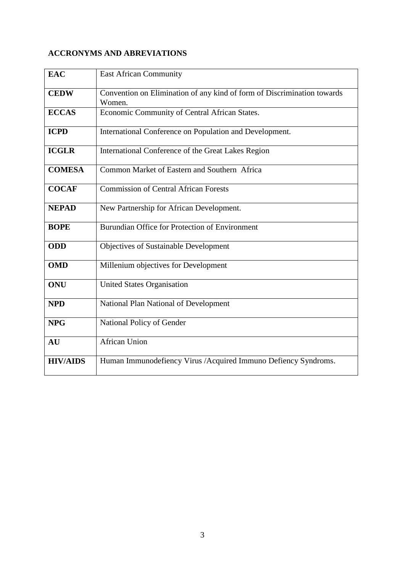# **ACCRONYMS AND ABREVIATIONS**

| <b>EAC</b>      | <b>East African Community</b>                                                     |
|-----------------|-----------------------------------------------------------------------------------|
| <b>CEDW</b>     | Convention on Elimination of any kind of form of Discrimination towards<br>Women. |
| <b>ECCAS</b>    | Economic Community of Central African States.                                     |
| <b>ICPD</b>     | International Conference on Population and Development.                           |
| <b>ICGLR</b>    | International Conference of the Great Lakes Region                                |
| <b>COMESA</b>   | Common Market of Eastern and Southern Africa                                      |
| <b>COCAF</b>    | <b>Commission of Central African Forests</b>                                      |
| <b>NEPAD</b>    | New Partnership for African Development.                                          |
| <b>BOPE</b>     | Burundian Office for Protection of Environment                                    |
| <b>ODD</b>      | <b>Objectives of Sustainable Development</b>                                      |
| <b>OMD</b>      | Millenium objectives for Development                                              |
| <b>ONU</b>      | <b>United States Organisation</b>                                                 |
| <b>NPD</b>      | National Plan National of Development                                             |
| <b>NPG</b>      | National Policy of Gender                                                         |
| AU              | <b>African Union</b>                                                              |
| <b>HIV/AIDS</b> | Human Immunodefiency Virus / Acquired Immuno Defiency Syndroms.                   |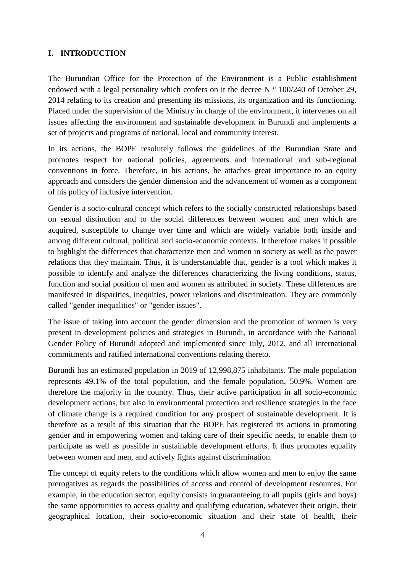## <span id="page-3-0"></span>**I. INTRODUCTION**

The Burundian Office for the Protection of the Environment is a Public establishment endowed with a legal personality which confers on it the decree  $N^{\circ}$  100/240 of October 29, 2014 relating to its creation and presenting its missions, its organization and its functioning. Placed under the supervision of the Ministry in charge of the environment, it intervenes on all issues affecting the environment and sustainable development in Burundi and implements a set of projects and programs of national, local and community interest.

In its actions, the BOPE resolutely follows the guidelines of the Burundian State and promotes respect for national policies, agreements and international and sub-regional conventions in force. Therefore, in his actions, he attaches great importance to an equity approach and considers the gender dimension and the advancement of women as a component of his policy of inclusive intervention.

Gender is a socio-cultural concept which refers to the socially constructed relationships based on sexual distinction and to the social differences between women and men which are acquired, susceptible to change over time and which are widely variable both inside and among different cultural, political and socio-economic contexts. It therefore makes it possible to highlight the differences that characterize men and women in society as well as the power relations that they maintain. Thus, it is understandable that, gender is a tool which makes it possible to identify and analyze the differences characterizing the living conditions, status, function and social position of men and women as attributed in society. These differences are manifested in disparities, inequities, power relations and discrimination. They are commonly called "gender inequalities" or "gender issues".

The issue of taking into account the gender dimension and the promotion of women is very present in development policies and strategies in Burundi, in accordance with the National Gender Policy of Burundi adopted and implemented since July, 2012, and all international commitments and ratified international conventions relating thereto.

Burundi has an estimated population in 2019 of 12,998,875 inhabitants. The male population represents 49.1% of the total population, and the female population, 50.9%. Women are therefore the majority in the country. Thus, their active participation in all socio-economic development actions, but also in environmental protection and resilience strategies in the face of climate change is a required condition for any prospect of sustainable development. It is therefore as a result of this situation that the BOPE has registered its actions in promoting gender and in empowering women and taking care of their specific needs, to enable them to participate as well as possible in sustainable development efforts. It thus promotes equality between women and men, and actively fights against discrimination.

The concept of equity refers to the conditions which allow women and men to enjoy the same prerogatives as regards the possibilities of access and control of development resources. For example, in the education sector, equity consists in guaranteeing to all pupils (girls and boys) the same opportunities to access quality and qualifying education, whatever their origin, their geographical location, their socio-economic situation and their state of health, their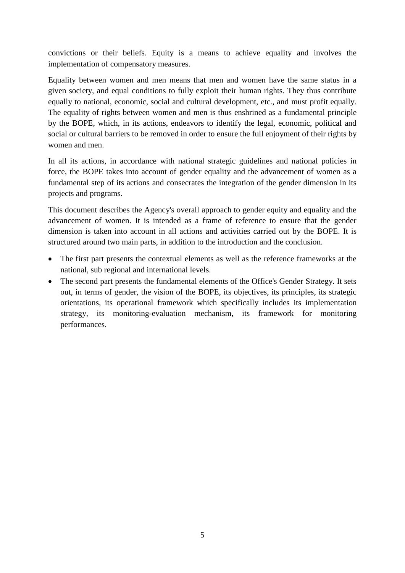convictions or their beliefs. Equity is a means to achieve equality and involves the implementation of compensatory measures.

Equality between women and men means that men and women have the same status in a given society, and equal conditions to fully exploit their human rights. They thus contribute equally to national, economic, social and cultural development, etc., and must profit equally. The equality of rights between women and men is thus enshrined as a fundamental principle by the BOPE, which, in its actions, endeavors to identify the legal, economic, political and social or cultural barriers to be removed in order to ensure the full enjoyment of their rights by women and men.

In all its actions, in accordance with national strategic guidelines and national policies in force, the BOPE takes into account of gender equality and the advancement of women as a fundamental step of its actions and consecrates the integration of the gender dimension in its projects and programs.

This document describes the Agency's overall approach to gender equity and equality and the advancement of women. It is intended as a frame of reference to ensure that the gender dimension is taken into account in all actions and activities carried out by the BOPE. It is structured around two main parts, in addition to the introduction and the conclusion.

- The first part presents the contextual elements as well as the reference frameworks at the national, sub regional and international levels.
- The second part presents the fundamental elements of the Office's Gender Strategy. It sets out, in terms of gender, the vision of the BOPE, its objectives, its principles, its strategic orientations, its operational framework which specifically includes its implementation strategy, its monitoring-evaluation mechanism, its framework for monitoring performances.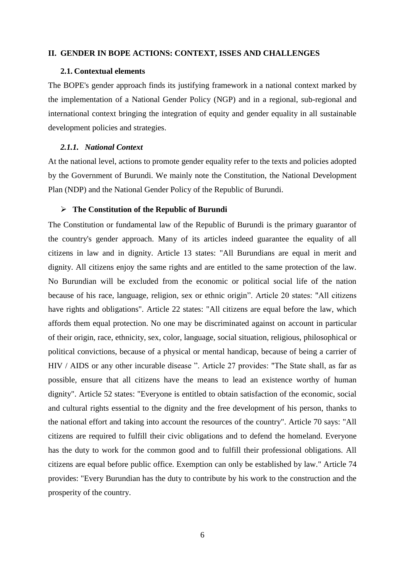#### <span id="page-5-0"></span>**II. GENDER IN BOPE ACTIONS: CONTEXT, ISSES AND CHALLENGES**

#### <span id="page-5-1"></span>**2.1. Contextual elements**

The BOPE's gender approach finds its justifying framework in a national context marked by the implementation of a National Gender Policy (NGP) and in a regional, sub-regional and international context bringing the integration of equity and gender equality in all sustainable development policies and strategies.

#### <span id="page-5-2"></span>*2.1.1. National Context*

At the national level, actions to promote gender equality refer to the texts and policies adopted by the Government of Burundi. We mainly note the Constitution, the National Development Plan (NDP) and the National Gender Policy of the Republic of Burundi.

#### **The Constitution of the Republic of Burundi**

The Constitution or fundamental law of the Republic of Burundi is the primary guarantor of the country's gender approach. Many of its articles indeed guarantee the equality of all citizens in law and in dignity. Article 13 states: "All Burundians are equal in merit and dignity. All citizens enjoy the same rights and are entitled to the same protection of the law. No Burundian will be excluded from the economic or political social life of the nation because of his race, language, religion, sex or ethnic origin". Article 20 states: "All citizens have rights and obligations". Article 22 states: "All citizens are equal before the law, which affords them equal protection. No one may be discriminated against on account in particular of their origin, race, ethnicity, sex, color, language, social situation, religious, philosophical or political convictions, because of a physical or mental handicap, because of being a carrier of HIV / AIDS or any other incurable disease ". Article 27 provides: "The State shall, as far as possible, ensure that all citizens have the means to lead an existence worthy of human dignity". Article 52 states: "Everyone is entitled to obtain satisfaction of the economic, social and cultural rights essential to the dignity and the free development of his person, thanks to the national effort and taking into account the resources of the country". Article 70 says: "All citizens are required to fulfill their civic obligations and to defend the homeland. Everyone has the duty to work for the common good and to fulfill their professional obligations. All citizens are equal before public office. Exemption can only be established by law." Article 74 provides: "Every Burundian has the duty to contribute by his work to the construction and the prosperity of the country.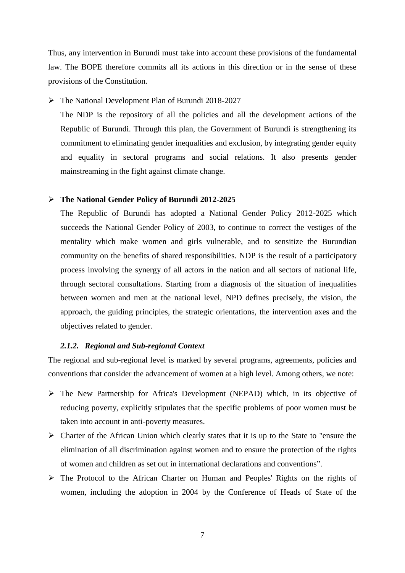Thus, any intervention in Burundi must take into account these provisions of the fundamental law. The BOPE therefore commits all its actions in this direction or in the sense of these provisions of the Constitution.

## The National Development Plan of Burundi 2018-2027

The NDP is the repository of all the policies and all the development actions of the Republic of Burundi. Through this plan, the Government of Burundi is strengthening its commitment to eliminating gender inequalities and exclusion, by integrating gender equity and equality in sectoral programs and social relations. It also presents gender mainstreaming in the fight against climate change.

#### **The National Gender Policy of Burundi 2012-2025**

The Republic of Burundi has adopted a National Gender Policy 2012-2025 which succeeds the National Gender Policy of 2003, to continue to correct the vestiges of the mentality which make women and girls vulnerable, and to sensitize the Burundian community on the benefits of shared responsibilities. NDP is the result of a participatory process involving the synergy of all actors in the nation and all sectors of national life, through sectoral consultations. Starting from a diagnosis of the situation of inequalities between women and men at the national level, NPD defines precisely, the vision, the approach, the guiding principles, the strategic orientations, the intervention axes and the objectives related to gender.

#### <span id="page-6-0"></span>*2.1.2. Regional and Sub-regional Context*

The regional and sub-regional level is marked by several programs, agreements, policies and conventions that consider the advancement of women at a high level. Among others, we note:

- The New Partnership for Africa's Development (NEPAD) which, in its objective of reducing poverty, explicitly stipulates that the specific problems of poor women must be taken into account in anti-poverty measures.
- $\triangleright$  Charter of the African Union which clearly states that it is up to the State to "ensure the elimination of all discrimination against women and to ensure the protection of the rights of women and children as set out in international declarations and conventions".
- The Protocol to the African Charter on Human and Peoples' Rights on the rights of women, including the adoption in 2004 by the Conference of Heads of State of the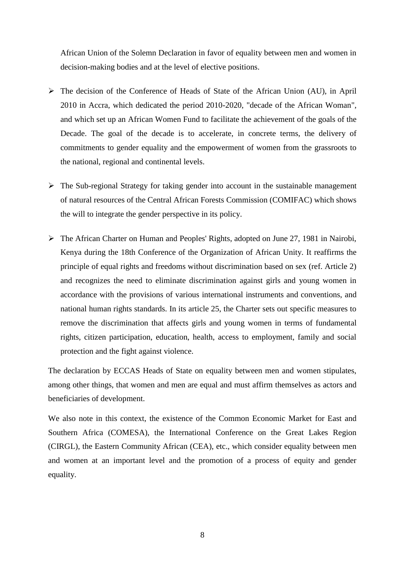African Union of the Solemn Declaration in favor of equality between men and women in decision-making bodies and at the level of elective positions.

- The decision of the Conference of Heads of State of the African Union (AU), in April 2010 in Accra, which dedicated the period 2010-2020, "decade of the African Woman", and which set up an African Women Fund to facilitate the achievement of the goals of the Decade. The goal of the decade is to accelerate, in concrete terms, the delivery of commitments to gender equality and the empowerment of women from the grassroots to the national, regional and continental levels.
- $\triangleright$  The Sub-regional Strategy for taking gender into account in the sustainable management of natural resources of the Central African Forests Commission (COMIFAC) which shows the will to integrate the gender perspective in its policy.
- The African Charter on Human and Peoples' Rights, adopted on June 27, 1981 in Nairobi, Kenya during the 18th Conference of the Organization of African Unity. It reaffirms the principle of equal rights and freedoms without discrimination based on sex (ref. Article 2) and recognizes the need to eliminate discrimination against girls and young women in accordance with the provisions of various international instruments and conventions, and national human rights standards. In its article 25, the Charter sets out specific measures to remove the discrimination that affects girls and young women in terms of fundamental rights, citizen participation, education, health, access to employment, family and social protection and the fight against violence.

The declaration by ECCAS Heads of State on equality between men and women stipulates, among other things, that women and men are equal and must affirm themselves as actors and beneficiaries of development.

We also note in this context, the existence of the Common Economic Market for East and Southern Africa (COMESA), the International Conference on the Great Lakes Region (CIRGL), the Eastern Community African (CEA), etc., which consider equality between men and women at an important level and the promotion of a process of equity and gender equality.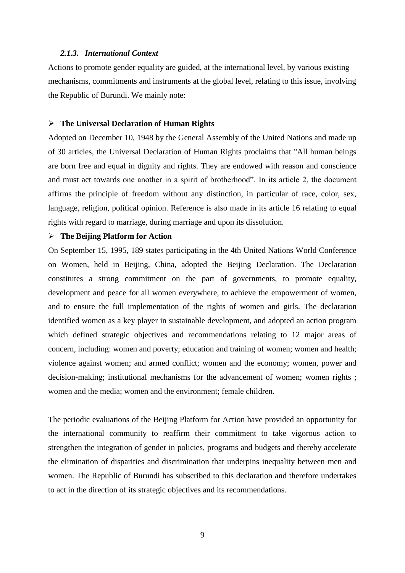### <span id="page-8-0"></span>*2.1.3. International Context*

Actions to promote gender equality are guided, at the international level, by various existing mechanisms, commitments and instruments at the global level, relating to this issue, involving the Republic of Burundi. We mainly note:

#### **The Universal Declaration of Human Rights**

Adopted on December 10, 1948 by the General Assembly of the United Nations and made up of 30 articles, the Universal Declaration of Human Rights proclaims that "All human beings are born free and equal in dignity and rights. They are endowed with reason and conscience and must act towards one another in a spirit of brotherhood". In its article 2, the document affirms the principle of freedom without any distinction, in particular of race, color, sex, language, religion, political opinion. Reference is also made in its article 16 relating to equal rights with regard to marriage, during marriage and upon its dissolution.

#### **The Beijing Platform for Action**

On September 15, 1995, 189 states participating in the 4th United Nations World Conference on Women, held in Beijing, China, adopted the Beijing Declaration. The Declaration constitutes a strong commitment on the part of governments, to promote equality, development and peace for all women everywhere, to achieve the empowerment of women, and to ensure the full implementation of the rights of women and girls. The declaration identified women as a key player in sustainable development, and adopted an action program which defined strategic objectives and recommendations relating to 12 major areas of concern, including: women and poverty; education and training of women; women and health; violence against women; and armed conflict; women and the economy; women, power and decision-making; institutional mechanisms for the advancement of women; women rights ; women and the media; women and the environment; female children.

The periodic evaluations of the Beijing Platform for Action have provided an opportunity for the international community to reaffirm their commitment to take vigorous action to strengthen the integration of gender in policies, programs and budgets and thereby accelerate the elimination of disparities and discrimination that underpins inequality between men and women. The Republic of Burundi has subscribed to this declaration and therefore undertakes to act in the direction of its strategic objectives and its recommendations.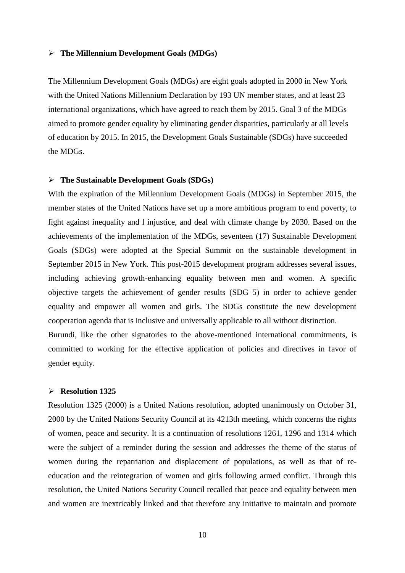#### **The Millennium Development Goals (MDGs)**

The Millennium Development Goals (MDGs) are eight goals adopted in 2000 in New York with the United Nations Millennium Declaration by 193 UN member states, and at least 23 international organizations, which have agreed to reach them by 2015. Goal 3 of the MDGs aimed to promote gender equality by eliminating gender disparities, particularly at all levels of education by 2015. In 2015, the Development Goals Sustainable (SDGs) have succeeded the MDGs.

#### **The Sustainable Development Goals (SDGs)**

With the expiration of the Millennium Development Goals (MDGs) in September 2015, the member states of the United Nations have set up a more ambitious program to end poverty, to fight against inequality and l injustice, and deal with climate change by 2030. Based on the achievements of the implementation of the MDGs, seventeen (17) Sustainable Development Goals (SDGs) were adopted at the Special Summit on the sustainable development in September 2015 in New York. This post-2015 development program addresses several issues, including achieving growth-enhancing equality between men and women. A specific objective targets the achievement of gender results (SDG 5) in order to achieve gender equality and empower all women and girls. The SDGs constitute the new development cooperation agenda that is inclusive and universally applicable to all without distinction. Burundi, like the other signatories to the above-mentioned international commitments, is committed to working for the effective application of policies and directives in favor of

# **Resolution 1325**

gender equity.

Resolution 1325 (2000) is a United Nations resolution, adopted unanimously on October 31, 2000 by the United Nations Security Council at its 4213th meeting, which concerns the rights of women, peace and security. It is a continuation of resolutions 1261, 1296 and 1314 which were the subject of a reminder during the session and addresses the theme of the status of women during the repatriation and displacement of populations, as well as that of reeducation and the reintegration of women and girls following armed conflict. Through this resolution, the United Nations Security Council recalled that peace and equality between men and women are inextricably linked and that therefore any initiative to maintain and promote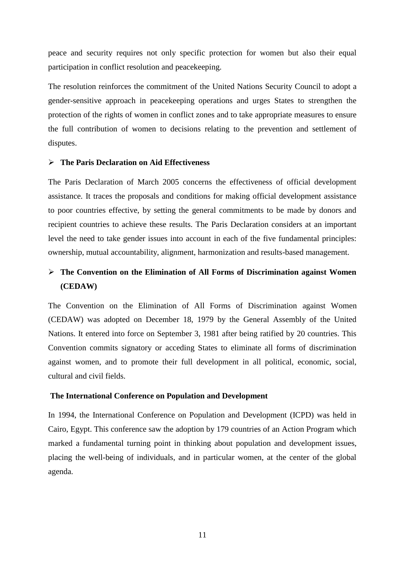peace and security requires not only specific protection for women but also their equal participation in conflict resolution and peacekeeping.

The resolution reinforces the commitment of the United Nations Security Council to adopt a gender-sensitive approach in peacekeeping operations and urges States to strengthen the protection of the rights of women in conflict zones and to take appropriate measures to ensure the full contribution of women to decisions relating to the prevention and settlement of disputes.

#### **The Paris Declaration on Aid Effectiveness**

The Paris Declaration of March 2005 concerns the effectiveness of official development assistance. It traces the proposals and conditions for making official development assistance to poor countries effective, by setting the general commitments to be made by donors and recipient countries to achieve these results. The Paris Declaration considers at an important level the need to take gender issues into account in each of the five fundamental principles: ownership, mutual accountability, alignment, harmonization and results-based management.

# **The Convention on the Elimination of All Forms of Discrimination against Women (CEDAW)**

The Convention on the Elimination of All Forms of Discrimination against Women (CEDAW) was adopted on December 18, 1979 by the General Assembly of the United Nations. It entered into force on September 3, 1981 after being ratified by 20 countries. This Convention commits signatory or acceding States to eliminate all forms of discrimination against women, and to promote their full development in all political, economic, social, cultural and civil fields.

#### **The International Conference on Population and Development**

In 1994, the International Conference on Population and Development (ICPD) was held in Cairo, Egypt. This conference saw the adoption by 179 countries of an Action Program which marked a fundamental turning point in thinking about population and development issues, placing the well-being of individuals, and in particular women, at the center of the global agenda.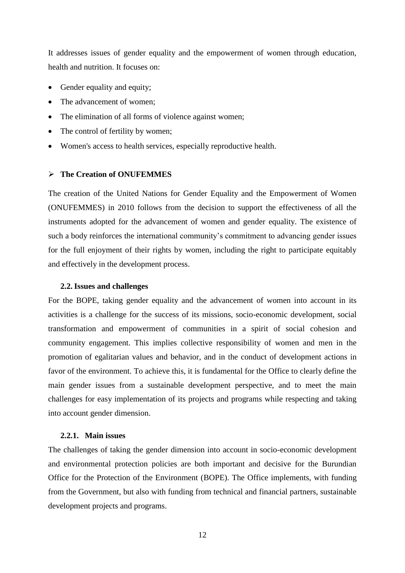It addresses issues of gender equality and the empowerment of women through education, health and nutrition. It focuses on:

- Gender equality and equity;
- The advancement of women;
- The elimination of all forms of violence against women;
- The control of fertility by women;
- Women's access to health services, especially reproductive health.

#### **The Creation of ONUFEMMES**

The creation of the United Nations for Gender Equality and the Empowerment of Women (ONUFEMMES) in 2010 follows from the decision to support the effectiveness of all the instruments adopted for the advancement of women and gender equality. The existence of such a body reinforces the international community's commitment to advancing gender issues for the full enjoyment of their rights by women, including the right to participate equitably and effectively in the development process.

#### <span id="page-11-0"></span>**2.2.Issues and challenges**

For the BOPE, taking gender equality and the advancement of women into account in its activities is a challenge for the success of its missions, socio-economic development, social transformation and empowerment of communities in a spirit of social cohesion and community engagement. This implies collective responsibility of women and men in the promotion of egalitarian values and behavior, and in the conduct of development actions in favor of the environment. To achieve this, it is fundamental for the Office to clearly define the main gender issues from a sustainable development perspective, and to meet the main challenges for easy implementation of its projects and programs while respecting and taking into account gender dimension.

#### <span id="page-11-1"></span>**2.2.1. Main issues**

The challenges of taking the gender dimension into account in socio-economic development and environmental protection policies are both important and decisive for the Burundian Office for the Protection of the Environment (BOPE). The Office implements, with funding from the Government, but also with funding from technical and financial partners, sustainable development projects and programs.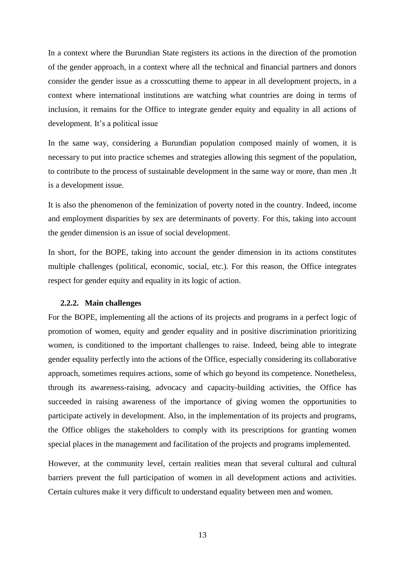In a context where the Burundian State registers its actions in the direction of the promotion of the gender approach, in a context where all the technical and financial partners and donors consider the gender issue as a crosscutting theme to appear in all development projects, in a context where international institutions are watching what countries are doing in terms of inclusion, it remains for the Office to integrate gender equity and equality in all actions of development. It's a political issue

In the same way, considering a Burundian population composed mainly of women, it is necessary to put into practice schemes and strategies allowing this segment of the population, to contribute to the process of sustainable development in the same way or more, than men .It is a development issue.

It is also the phenomenon of the feminization of poverty noted in the country. Indeed, income and employment disparities by sex are determinants of poverty. For this, taking into account the gender dimension is an issue of social development.

In short, for the BOPE, taking into account the gender dimension in its actions constitutes multiple challenges (political, economic, social, etc.). For this reason, the Office integrates respect for gender equity and equality in its logic of action.

#### <span id="page-12-0"></span>**2.2.2. Main challenges**

For the BOPE, implementing all the actions of its projects and programs in a perfect logic of promotion of women, equity and gender equality and in positive discrimination prioritizing women, is conditioned to the important challenges to raise. Indeed, being able to integrate gender equality perfectly into the actions of the Office, especially considering its collaborative approach, sometimes requires actions, some of which go beyond its competence. Nonetheless, through its awareness-raising, advocacy and capacity-building activities, the Office has succeeded in raising awareness of the importance of giving women the opportunities to participate actively in development. Also, in the implementation of its projects and programs, the Office obliges the stakeholders to comply with its prescriptions for granting women special places in the management and facilitation of the projects and programs implemented.

However, at the community level, certain realities mean that several cultural and cultural barriers prevent the full participation of women in all development actions and activities. Certain cultures make it very difficult to understand equality between men and women.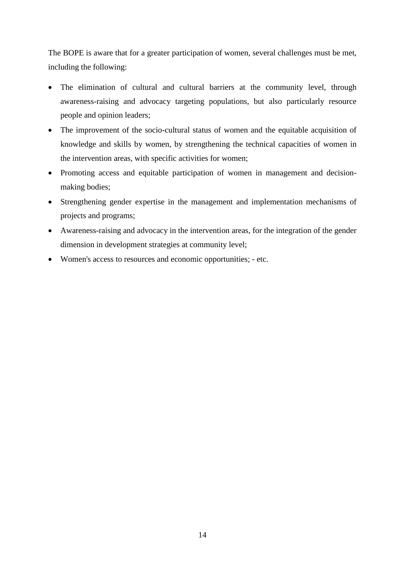The BOPE is aware that for a greater participation of women, several challenges must be met, including the following:

- The elimination of cultural and cultural barriers at the community level, through awareness-raising and advocacy targeting populations, but also particularly resource people and opinion leaders;
- The improvement of the socio-cultural status of women and the equitable acquisition of knowledge and skills by women, by strengthening the technical capacities of women in the intervention areas, with specific activities for women;
- Promoting access and equitable participation of women in management and decisionmaking bodies;
- Strengthening gender expertise in the management and implementation mechanisms of projects and programs;
- Awareness-raising and advocacy in the intervention areas, for the integration of the gender dimension in development strategies at community level;
- Women's access to resources and economic opportunities; etc.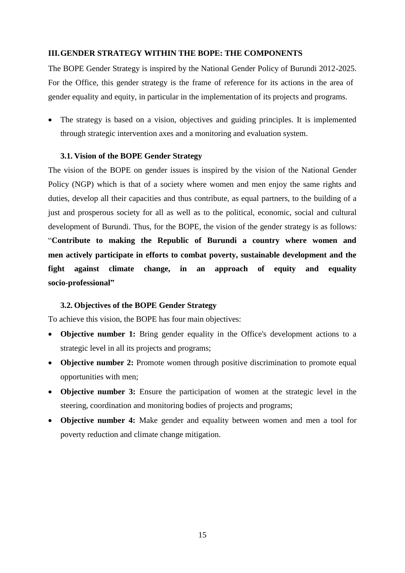#### <span id="page-14-0"></span>**III.GENDER STRATEGY WITHIN THE BOPE: THE COMPONENTS**

The BOPE Gender Strategy is inspired by the National Gender Policy of Burundi 2012-2025. For the Office, this gender strategy is the frame of reference for its actions in the area of gender equality and equity, in particular in the implementation of its projects and programs.

 The strategy is based on a vision, objectives and guiding principles. It is implemented through strategic intervention axes and a monitoring and evaluation system.

#### <span id="page-14-1"></span>**3.1. Vision of the BOPE Gender Strategy**

The vision of the BOPE on gender issues is inspired by the vision of the National Gender Policy (NGP) which is that of a society where women and men enjoy the same rights and duties, develop all their capacities and thus contribute, as equal partners, to the building of a just and prosperous society for all as well as to the political, economic, social and cultural development of Burundi. Thus, for the BOPE, the vision of the gender strategy is as follows: "**Contribute to making the Republic of Burundi a country where women and men actively participate in efforts to combat poverty, sustainable development and the fight against climate change, in an approach of equity and equality socio-professional"**

#### <span id="page-14-2"></span>**3.2. Objectives of the BOPE Gender Strategy**

To achieve this vision, the BOPE has four main objectives:

- **Objective number 1:** Bring gender equality in the Office's development actions to a strategic level in all its projects and programs;
- **Objective number 2:** Promote women through positive discrimination to promote equal opportunities with men;
- **Objective number 3:** Ensure the participation of women at the strategic level in the steering, coordination and monitoring bodies of projects and programs;
- **Objective number 4:** Make gender and equality between women and men a tool for poverty reduction and climate change mitigation.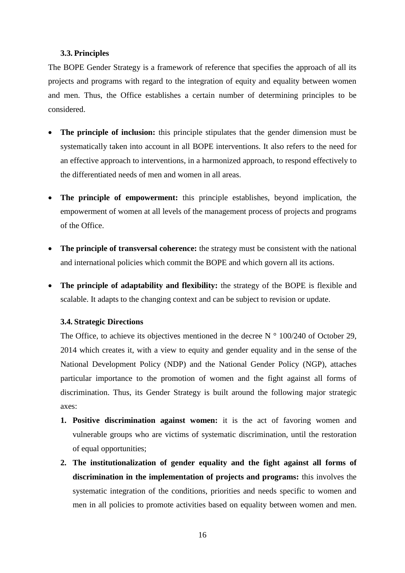## <span id="page-15-0"></span>**3.3. Principles**

The BOPE Gender Strategy is a framework of reference that specifies the approach of all its projects and programs with regard to the integration of equity and equality between women and men. Thus, the Office establishes a certain number of determining principles to be considered.

- **The principle of inclusion:** this principle stipulates that the gender dimension must be systematically taken into account in all BOPE interventions. It also refers to the need for an effective approach to interventions, in a harmonized approach, to respond effectively to the differentiated needs of men and women in all areas.
- **The principle of empowerment:** this principle establishes, beyond implication, the empowerment of women at all levels of the management process of projects and programs of the Office.
- **The principle of transversal coherence:** the strategy must be consistent with the national and international policies which commit the BOPE and which govern all its actions.
- **The principle of adaptability and flexibility:** the strategy of the BOPE is flexible and scalable. It adapts to the changing context and can be subject to revision or update.

### <span id="page-15-1"></span>**3.4. Strategic Directions**

The Office, to achieve its objectives mentioned in the decree  $N \circ 100/240$  of October 29, 2014 which creates it, with a view to equity and gender equality and in the sense of the National Development Policy (NDP) and the National Gender Policy (NGP), attaches particular importance to the promotion of women and the fight against all forms of discrimination. Thus, its Gender Strategy is built around the following major strategic axes:

- **1. Positive discrimination against women:** it is the act of favoring women and vulnerable groups who are victims of systematic discrimination, until the restoration of equal opportunities;
- **2. The institutionalization of gender equality and the fight against all forms of discrimination in the implementation of projects and programs:** this involves the systematic integration of the conditions, priorities and needs specific to women and men in all policies to promote activities based on equality between women and men.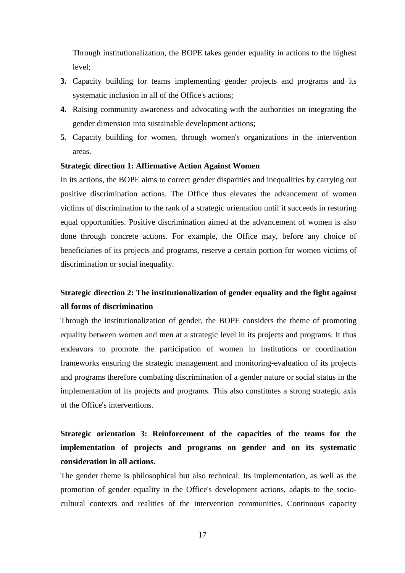Through institutionalization, the BOPE takes gender equality in actions to the highest level;

- **3.** Capacity building for teams implementing gender projects and programs and its systematic inclusion in all of the Office's actions;
- **4.** Raising community awareness and advocating with the authorities on integrating the gender dimension into sustainable development actions;
- **5.** Capacity building for women, through women's organizations in the intervention areas.

#### **Strategic direction 1: Affirmative Action Against Women**

In its actions, the BOPE aims to correct gender disparities and inequalities by carrying out positive discrimination actions. The Office thus elevates the advancement of women victims of discrimination to the rank of a strategic orientation until it succeeds in restoring equal opportunities. Positive discrimination aimed at the advancement of women is also done through concrete actions. For example, the Office may, before any choice of beneficiaries of its projects and programs, reserve a certain portion for women victims of discrimination or social inequality.

# **Strategic direction 2: The institutionalization of gender equality and the fight against all forms of discrimination**

Through the institutionalization of gender, the BOPE considers the theme of promoting equality between women and men at a strategic level in its projects and programs. It thus endeavors to promote the participation of women in institutions or coordination frameworks ensuring the strategic management and monitoring-evaluation of its projects and programs therefore combating discrimination of a gender nature or social status in the implementation of its projects and programs. This also constitutes a strong strategic axis of the Office's interventions.

# **Strategic orientation 3: Reinforcement of the capacities of the teams for the implementation of projects and programs on gender and on its systematic consideration in all actions.**

The gender theme is philosophical but also technical. Its implementation, as well as the promotion of gender equality in the Office's development actions, adapts to the sociocultural contexts and realities of the intervention communities. Continuous capacity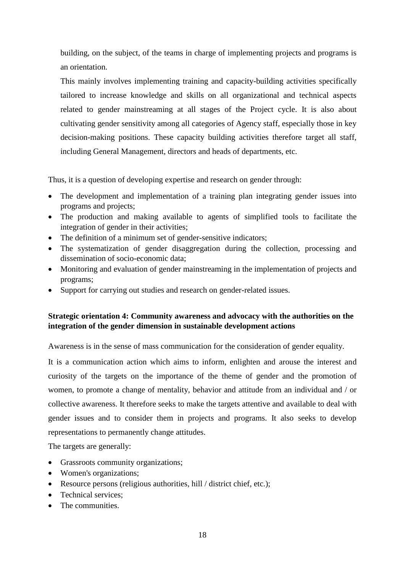building, on the subject, of the teams in charge of implementing projects and programs is an orientation.

This mainly involves implementing training and capacity-building activities specifically tailored to increase knowledge and skills on all organizational and technical aspects related to gender mainstreaming at all stages of the Project cycle. It is also about cultivating gender sensitivity among all categories of Agency staff, especially those in key decision-making positions. These capacity building activities therefore target all staff, including General Management, directors and heads of departments, etc.

Thus, it is a question of developing expertise and research on gender through:

- The development and implementation of a training plan integrating gender issues into programs and projects;
- The production and making available to agents of simplified tools to facilitate the integration of gender in their activities;
- The definition of a minimum set of gender-sensitive indicators;
- The systematization of gender disaggregation during the collection, processing and dissemination of socio-economic data;
- Monitoring and evaluation of gender mainstreaming in the implementation of projects and programs;
- Support for carrying out studies and research on gender-related issues.

## **Strategic orientation 4: Community awareness and advocacy with the authorities on the integration of the gender dimension in sustainable development actions**

Awareness is in the sense of mass communication for the consideration of gender equality.

It is a communication action which aims to inform, enlighten and arouse the interest and curiosity of the targets on the importance of the theme of gender and the promotion of women, to promote a change of mentality, behavior and attitude from an individual and / or collective awareness. It therefore seeks to make the targets attentive and available to deal with gender issues and to consider them in projects and programs. It also seeks to develop representations to permanently change attitudes.

The targets are generally:

- Grassroots community organizations;
- Women's organizations;
- Resource persons (religious authorities, hill / district chief, etc.);
- Technical services:
- The communities.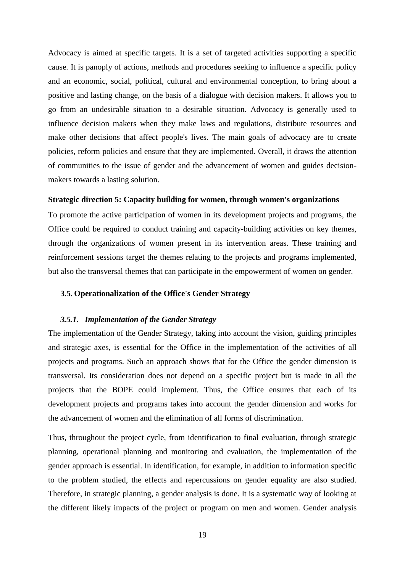Advocacy is aimed at specific targets. It is a set of targeted activities supporting a specific cause. It is panoply of actions, methods and procedures seeking to influence a specific policy and an economic, social, political, cultural and environmental conception, to bring about a positive and lasting change, on the basis of a dialogue with decision makers. It allows you to go from an undesirable situation to a desirable situation. Advocacy is generally used to influence decision makers when they make laws and regulations, distribute resources and make other decisions that affect people's lives. The main goals of advocacy are to create policies, reform policies and ensure that they are implemented. Overall, it draws the attention of communities to the issue of gender and the advancement of women and guides decisionmakers towards a lasting solution.

#### **Strategic direction 5: Capacity building for women, through women's organizations**

To promote the active participation of women in its development projects and programs, the Office could be required to conduct training and capacity-building activities on key themes, through the organizations of women present in its intervention areas. These training and reinforcement sessions target the themes relating to the projects and programs implemented, but also the transversal themes that can participate in the empowerment of women on gender.

#### <span id="page-18-0"></span>**3.5. Operationalization of the Office's Gender Strategy**

#### <span id="page-18-1"></span>*3.5.1. Implementation of the Gender Strategy*

The implementation of the Gender Strategy, taking into account the vision, guiding principles and strategic axes, is essential for the Office in the implementation of the activities of all projects and programs. Such an approach shows that for the Office the gender dimension is transversal. Its consideration does not depend on a specific project but is made in all the projects that the BOPE could implement. Thus, the Office ensures that each of its development projects and programs takes into account the gender dimension and works for the advancement of women and the elimination of all forms of discrimination.

Thus, throughout the project cycle, from identification to final evaluation, through strategic planning, operational planning and monitoring and evaluation, the implementation of the gender approach is essential. In identification, for example, in addition to information specific to the problem studied, the effects and repercussions on gender equality are also studied. Therefore, in strategic planning, a gender analysis is done. It is a systematic way of looking at the different likely impacts of the project or program on men and women. Gender analysis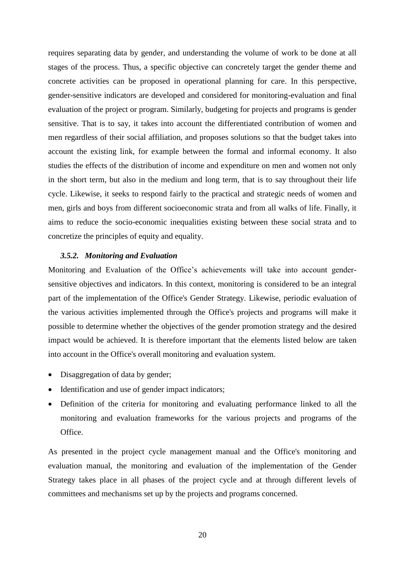requires separating data by gender, and understanding the volume of work to be done at all stages of the process. Thus, a specific objective can concretely target the gender theme and concrete activities can be proposed in operational planning for care. In this perspective, gender-sensitive indicators are developed and considered for monitoring-evaluation and final evaluation of the project or program. Similarly, budgeting for projects and programs is gender sensitive. That is to say, it takes into account the differentiated contribution of women and men regardless of their social affiliation, and proposes solutions so that the budget takes into account the existing link, for example between the formal and informal economy. It also studies the effects of the distribution of income and expenditure on men and women not only in the short term, but also in the medium and long term, that is to say throughout their life cycle. Likewise, it seeks to respond fairly to the practical and strategic needs of women and men, girls and boys from different socioeconomic strata and from all walks of life. Finally, it aims to reduce the socio-economic inequalities existing between these social strata and to concretize the principles of equity and equality.

#### <span id="page-19-0"></span>*3.5.2. Monitoring and Evaluation*

Monitoring and Evaluation of the Office's achievements will take into account gendersensitive objectives and indicators. In this context, monitoring is considered to be an integral part of the implementation of the Office's Gender Strategy. Likewise, periodic evaluation of the various activities implemented through the Office's projects and programs will make it possible to determine whether the objectives of the gender promotion strategy and the desired impact would be achieved. It is therefore important that the elements listed below are taken into account in the Office's overall monitoring and evaluation system.

- Disaggregation of data by gender;
- Identification and use of gender impact indicators;
- Definition of the criteria for monitoring and evaluating performance linked to all the monitoring and evaluation frameworks for the various projects and programs of the Office.

As presented in the project cycle management manual and the Office's monitoring and evaluation manual, the monitoring and evaluation of the implementation of the Gender Strategy takes place in all phases of the project cycle and at through different levels of committees and mechanisms set up by the projects and programs concerned.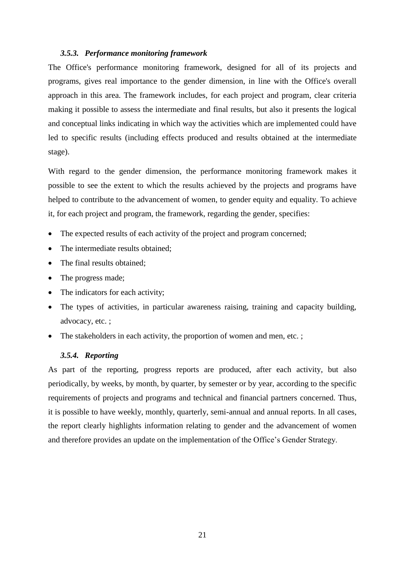#### <span id="page-20-0"></span>*3.5.3. Performance monitoring framework*

The Office's performance monitoring framework, designed for all of its projects and programs, gives real importance to the gender dimension, in line with the Office's overall approach in this area. The framework includes, for each project and program, clear criteria making it possible to assess the intermediate and final results, but also it presents the logical and conceptual links indicating in which way the activities which are implemented could have led to specific results (including effects produced and results obtained at the intermediate stage).

With regard to the gender dimension, the performance monitoring framework makes it possible to see the extent to which the results achieved by the projects and programs have helped to contribute to the advancement of women, to gender equity and equality. To achieve it, for each project and program, the framework, regarding the gender, specifies:

- The expected results of each activity of the project and program concerned;
- The intermediate results obtained:
- The final results obtained:
- The progress made;
- The indicators for each activity;
- The types of activities, in particular awareness raising, training and capacity building, advocacy, etc. ;
- The stakeholders in each activity, the proportion of women and men, etc.;

#### <span id="page-20-1"></span>*3.5.4. Reporting*

As part of the reporting, progress reports are produced, after each activity, but also periodically, by weeks, by month, by quarter, by semester or by year, according to the specific requirements of projects and programs and technical and financial partners concerned. Thus, it is possible to have weekly, monthly, quarterly, semi-annual and annual reports. In all cases, the report clearly highlights information relating to gender and the advancement of women and therefore provides an update on the implementation of the Office's Gender Strategy.